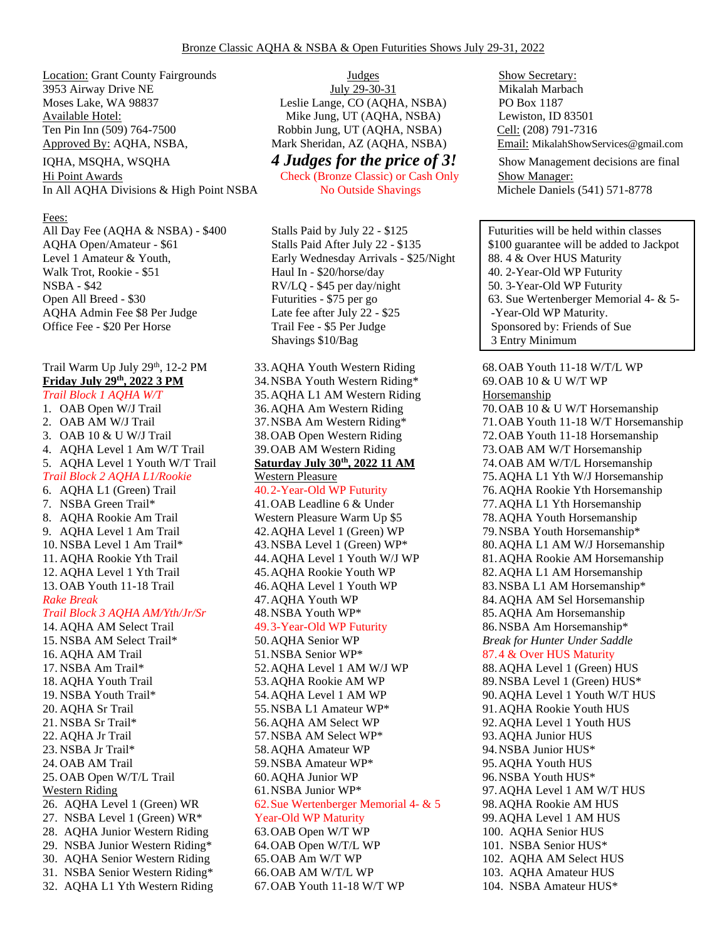Location: Grant County Fairgrounds 3953 Airway Drive NE Moses Lake, WA 98837 Available Hotel: Ten Pin Inn (509) 764-7500 Robbin Jung, UT (AQHA, NSBA) Cell: (208) 791-7316 Approved By: AQHA, NSBA, Mark Sheridan, AZ (AQHA, NSBA) Email: MikalahShowServices@gmail.com

In All AQHA Divisions & High Point NSBA No Outside Shavings Michele Daniels (541) 571-8778

#### Fees:

All Day Fee (AQHA & NSBA) - \$400 Stalls Paid by July 22 - \$125 Futurities will be held within classes

## Trail Warm Up July 29<sup>th</sup>, 12-2 PM **Friday July 29th , 2022 3 PM**

*Trail Block 1 AQHA W/T* 1. OAB Open W/J Trail 2. OAB AM W/J Trail 3. OAB 10 & U W/J Trail 4. AQHA Level 1 Am W/T Trail 5. AQHA Level 1 Youth W/T Trail *Trail Block 2 AQHA L1/Rookie* 6. AQHA L1 (Green) Trail 7. NSBA Green Trail\* 8. AQHA Rookie Am Trail 9. AQHA Level 1 Am Trail 10. NSBA Level 1 Am Trail\* 11. AQHA Rookie Yth Trail 12. AQHA Level 1 Yth Trail 13. OAB Youth 11-18 Trail *Rake Break Trail Block 3 AQHA AM/Yth/Jr/Sr* 14. AQHA AM Select Trail 15. NSBA AM Select Trail\* 16. AQHA AM Trail 17. NSBA Am Trail\* 18. AQHA Youth Trail 19. NSBA Youth Trail\* 20. AQHA Sr Trail 21. NSBA Sr Trail\* 22. AQHA Jr Trail 23. NSBA Jr Trail\* 24. OAB AM Trail 25. OAB Open W/T/L Trail Western Riding 26. AQHA Level 1 (Green) WR 27. NSBA Level 1 (Green) WR\* 28. AQHA Junior Western Riding 29. NSBA Junior Western Riding\* 30. AQHA Senior Western Riding

31. NSBA Senior Western Riding\* 32. AQHA L1 Yth Western Riding

Judges July 29-30-31 Leslie Lange, CO (AQHA, NSBA) Mike Jung, UT (AQHA, NSBA)

Hi Point Awards Check (Bronze Classic) or Cash Only Show Manager:

Level 1 Amateur & Youth, Early Wednesday Arrivals - \$25/Night 88. 4 & Over HUS Maturity Walk Trot, Rookie - \$51 Haul In - \$20/horse/day  $\vert$  40. 2-Year-Old WP Futurity NSBA - \$42 RV/LQ - \$45 per day/night 50. 3-Year-Old WP Futurity AQHA Admin Fee \$8 Per Judge Late fee after July 22 - \$25 - Year-Old WP Maturity. Office Fee - \$20 Per Horse Trail Fee - \$5 Per Judge Sponsored by: Friends of Sue Shavings \$10/Bag 3 Entry Minimum

# 33.AQHA Youth Western Riding

34.NSBA Youth Western Riding\* 35.AQHA L1 AM Western Riding 36.AQHA Am Western Riding 37.NSBA Am Western Riding\* 38.OAB Open Western Riding 39.OAB AM Western Riding

### **Saturday July 30th, 2022 11 AM** Western Pleasure

### 40.2-Year-Old WP Futurity

41.OAB Leadline 6 & Under Western Pleasure Warm Up \$5 42.AQHA Level 1 (Green) WP 43.NSBA Level 1 (Green) WP\* 44.AQHA Level 1 Youth W/J WP 45.AQHA Rookie Youth WP 46.AQHA Level 1 Youth WP 47.AQHA Youth WP 48.NSBA Youth WP\* 49.3-Year-Old WP Futurity 50.AQHA Senior WP 51.NSBA Senior WP\*

52.AQHA Level 1 AM W/J WP 53.AQHA Rookie AM WP 54.AQHA Level 1 AM WP 55.NSBA L1 Amateur WP\* 56.AQHA AM Select WP 57.NSBA AM Select WP\* 58.AQHA Amateur WP 59.NSBA Amateur WP\* 60.AQHA Junior WP 61.NSBA Junior WP\* 62.Sue Wertenberger Memorial 4- & 5 Year-Old WP Maturity 63.OAB Open W/T WP 64.OAB Open W/T/L WP 65.OAB Am W/T WP 66.OAB AM W/T/L WP 67.OAB Youth 11-18 W/T WP

Show Secretary: Mikalah Marbach PO Box 1187 Lewiston, ID 83501 IQHA, MSQHA, WSQHA **4 Judges for the price of 3!** Show Management decisions are final

AQHA Open/Amateur - \$61 Stalls Paid After July 22 - \$135 \ \$100 guarantee will be added to Jackpot Open All Breed - \$30 Futurities - \$75 per go 63. Sue Wertenberger Memorial 4- & 5-

> 68.OAB Youth 11-18 W/T/L WP 69.OAB 10 & U W/T WP Horsemanship 70.OAB 10 & U W/T Horsemanship 71.OAB Youth 11-18 W/T Horsemanship 72.OAB Youth 11-18 Horsemanship 73.OAB AM W/T Horsemanship 74.OAB AM W/T/L Horsemanship 75.AQHA L1 Yth W/J Horsemanship 76.AQHA Rookie Yth Horsemanship 77.AQHA L1 Yth Horsemanship 78.AQHA Youth Horsemanship 79.NSBA Youth Horsemanship\* 80.AQHA L1 AM W/J Horsemanship 81.AQHA Rookie AM Horsemanship 82.AQHA L1 AM Horsemanship 83.NSBA L1 AM Horsemanship\* 84.AQHA AM Sel Horsemanship 85.AQHA Am Horsemanship 86.NSBA Am Horsemanship\* *Break for Hunter Under Saddle*  87.4 & Over HUS Maturity 88.AQHA Level 1 (Green) HUS 89.NSBA Level 1 (Green) HUS\* 90.AQHA Level 1 Youth W/T HUS 91.AQHA Rookie Youth HUS 92.AQHA Level 1 Youth HUS 93.AQHA Junior HUS 94.NSBA Junior HUS\* 95.AQHA Youth HUS 96.NSBA Youth HUS\* 97.AQHA Level 1 AM W/T HUS 98.AQHA Rookie AM HUS 99.AQHA Level 1 AM HUS 100. AQHA Senior HUS 101. NSBA Senior HUS\* 102. AQHA AM Select HUS 103. AQHA Amateur HUS 104. NSBA Amateur HUS\*